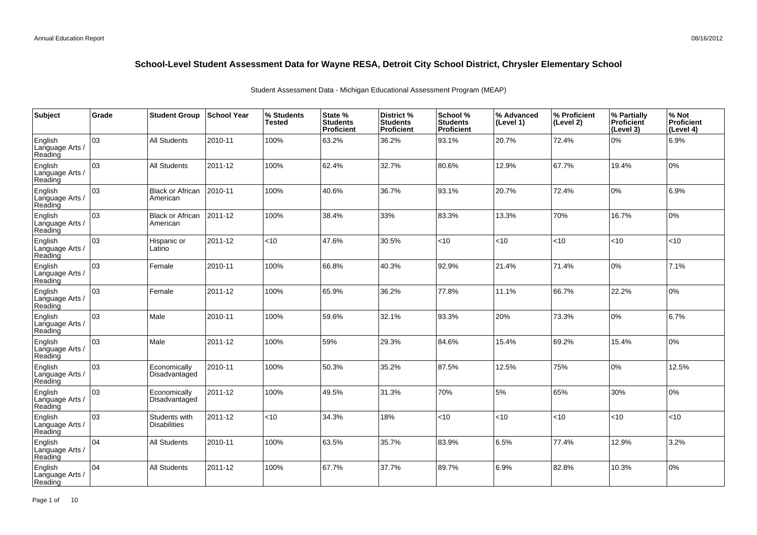| Subject                               | Grade | <b>Student Group</b>                 | <b>School Year</b> | % Students<br><b>Tested</b> | State %<br><b>Students</b><br><b>Proficient</b> | District %<br><b>Students</b><br><b>Proficient</b> | School %<br><b>Students</b><br><b>Proficient</b> | % Advanced<br>(Level 1) | % Proficient<br>(Level 2) | % Partially<br><b>Proficient</b><br>(Level 3) | % Not<br>Proficient<br>(Level 4) |
|---------------------------------------|-------|--------------------------------------|--------------------|-----------------------------|-------------------------------------------------|----------------------------------------------------|--------------------------------------------------|-------------------------|---------------------------|-----------------------------------------------|----------------------------------|
| English<br>Language Arts /<br>Reading | 03    | <b>All Students</b>                  | 2010-11            | 100%                        | 63.2%                                           | 36.2%                                              | 93.1%                                            | 20.7%                   | 72.4%                     | 0%                                            | 6.9%                             |
| English<br>Language Arts /<br>Reading | 03    | <b>All Students</b>                  | 2011-12            | 100%                        | 62.4%                                           | 32.7%                                              | 80.6%                                            | 12.9%                   | 67.7%                     | 19.4%                                         | 0%                               |
| English<br>Language Arts /<br>Reading | 03    | <b>Black or African</b><br>American  | 2010-11            | 100%                        | 40.6%                                           | 36.7%                                              | 93.1%                                            | 20.7%                   | 72.4%                     | 0%                                            | 6.9%                             |
| English<br>Language Arts /<br>Reading | 03    | <b>Black or African</b><br>American  | 2011-12            | 100%                        | 38.4%                                           | 33%                                                | 83.3%                                            | 13.3%                   | 70%                       | 16.7%                                         | 0%                               |
| English<br>Language Arts /<br>Reading | 03    | Hispanic or<br>Latino                | 2011-12            | <10                         | 47.6%                                           | 30.5%                                              | <10                                              | < 10                    | < 10                      | <10                                           | <10                              |
| English<br>Language Arts /<br>Reading | 03    | Female                               | 2010-11            | 100%                        | 66.8%                                           | 40.3%                                              | 92.9%                                            | 21.4%                   | 71.4%                     | 0%                                            | 7.1%                             |
| English<br>Language Arts /<br>Reading | 03    | Female                               | 2011-12            | 100%                        | 65.9%                                           | 36.2%                                              | 77.8%                                            | 11.1%                   | 66.7%                     | 22.2%                                         | 0%                               |
| English<br>Language Arts<br>Reading   | 03    | Male                                 | 2010-11            | 100%                        | 59.6%                                           | 32.1%                                              | 93.3%                                            | 20%                     | 73.3%                     | 0%                                            | 6.7%                             |
| English<br>Language Arts /<br>Reading | 03    | Male                                 | 2011-12            | 100%                        | 59%                                             | 29.3%                                              | 84.6%                                            | 15.4%                   | 69.2%                     | 15.4%                                         | 0%                               |
| English<br>Language Arts<br>Reading   | 03    | Economically<br>Disadvantaged        | 2010-11            | 100%                        | 50.3%                                           | 35.2%                                              | 87.5%                                            | 12.5%                   | 75%                       | 0%                                            | 12.5%                            |
| English<br>Language Arts /<br>Reading | 03    | Economically<br>Disadvantaged        | 2011-12            | 100%                        | 49.5%                                           | 31.3%                                              | 70%                                              | 5%                      | 65%                       | 30%                                           | 0%                               |
| English<br>Language Arts<br>Reading   | 03    | Students with<br><b>Disabilities</b> | 2011-12            | <10                         | 34.3%                                           | 18%                                                | <10                                              | < 10                    | < 10                      | < 10                                          | <10                              |
| English<br>Language Arts /<br>Reading | 04    | <b>All Students</b>                  | 2010-11            | 100%                        | 63.5%                                           | 35.7%                                              | 83.9%                                            | 6.5%                    | 77.4%                     | 12.9%                                         | 3.2%                             |
| English<br>Language Arts<br>Reading   | 04    | <b>All Students</b>                  | 2011-12            | 100%                        | 67.7%                                           | 37.7%                                              | 89.7%                                            | 6.9%                    | 82.8%                     | 10.3%                                         | 0%                               |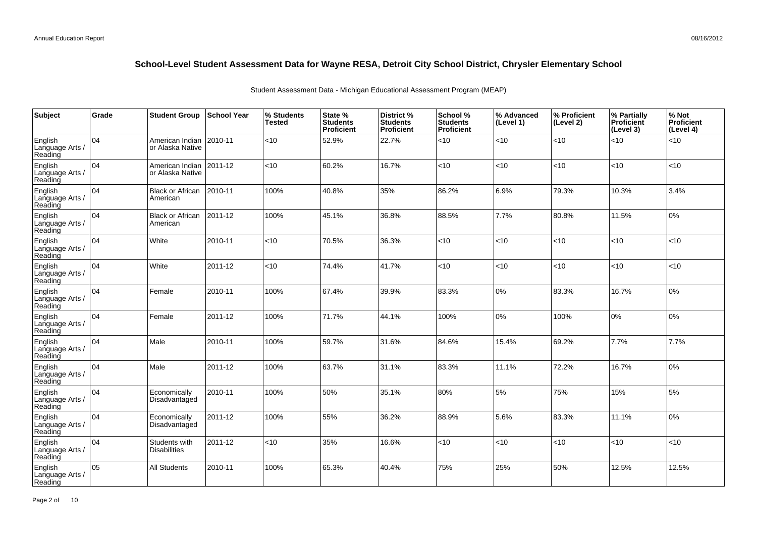| <b>Subject</b>                        | Grade | <b>Student Group</b>                 | <b>School Year</b> | % Students<br><b>Tested</b> | State %<br><b>Students</b><br><b>Proficient</b> | District %<br><b>Students</b><br>Proficient | School %<br><b>Students</b><br><b>Proficient</b> | % Advanced<br>(Level 1) | % Proficient<br>(Level 2) | % Partially<br>Proficient<br>(Level 3) | % Not<br>Proficient<br>(Level 4) |
|---------------------------------------|-------|--------------------------------------|--------------------|-----------------------------|-------------------------------------------------|---------------------------------------------|--------------------------------------------------|-------------------------|---------------------------|----------------------------------------|----------------------------------|
| English<br>Language Arts /<br>Reading | 104   | American Indian<br>or Alaska Native  | 2010-11            | <10                         | 52.9%                                           | 22.7%                                       | <10                                              | <10                     | < 10                      | < 10                                   | <10                              |
| English<br>Language Arts /<br>Reading | 104   | American Indian<br>or Alaska Native  | 2011-12            | <10                         | 60.2%                                           | 16.7%                                       | <10                                              | <10                     | < 10                      | < 10                                   | <10                              |
| English<br>Language Arts /<br>Reading | 104   | <b>Black or African</b><br>American  | 2010-11            | 100%                        | 40.8%                                           | 35%                                         | 86.2%                                            | 6.9%                    | 79.3%                     | 10.3%                                  | 3.4%                             |
| English<br>Language Arts /<br>Reading | 104   | <b>Black or African</b><br>American  | 2011-12            | 100%                        | 45.1%                                           | 36.8%                                       | 88.5%                                            | 7.7%                    | 80.8%                     | 11.5%                                  | 0%                               |
| English<br>Language Arts /<br>Reading | 04    | White                                | 2010-11            | <10                         | 70.5%                                           | 36.3%                                       | <10                                              | <10                     | < 10                      | <10                                    | <10                              |
| English<br>Language Arts /<br>Reading | 104   | White                                | 2011-12            | <10                         | 74.4%                                           | 41.7%                                       | < 10                                             | <10                     | < 10                      | < 10                                   | <10                              |
| English<br>Language Arts /<br>Reading | 104   | Female                               | 2010-11            | 100%                        | 67.4%                                           | 39.9%                                       | 83.3%                                            | 0%                      | 83.3%                     | 16.7%                                  | 0%                               |
| English<br>Language Arts /<br>Reading | 04    | Female                               | 2011-12            | 100%                        | 71.7%                                           | 44.1%                                       | 100%                                             | 0%                      | 100%                      | 0%                                     | 0%                               |
| English<br>Language Arts /<br>Reading | 04    | Male                                 | 2010-11            | 100%                        | 59.7%                                           | 31.6%                                       | 84.6%                                            | 15.4%                   | 69.2%                     | 7.7%                                   | 7.7%                             |
| English<br>Language Arts /<br>Reading | 04    | Male                                 | 2011-12            | 100%                        | 63.7%                                           | 31.1%                                       | 83.3%                                            | 11.1%                   | 72.2%                     | 16.7%                                  | 0%                               |
| English<br>Language Arts /<br>Reading | 04    | Economically<br>Disadvantaged        | 2010-11            | 100%                        | 50%                                             | 35.1%                                       | 80%                                              | 5%                      | 75%                       | 15%                                    | 5%                               |
| English<br>Language Arts /<br>Reading | 04    | Economically<br>Disadvantaged        | 2011-12            | 100%                        | 55%                                             | 36.2%                                       | 88.9%                                            | 5.6%                    | 83.3%                     | 11.1%                                  | 0%                               |
| English<br>Language Arts /<br>Reading | 104   | Students with<br><b>Disabilities</b> | 2011-12            | $<$ 10                      | 35%                                             | 16.6%                                       | < 10                                             | < 10                    | < 10                      | < 10                                   | $<$ 10                           |
| English<br>Language Arts<br>Reading   | 05    | <b>All Students</b>                  | 2010-11            | 100%                        | 65.3%                                           | 40.4%                                       | 75%                                              | 25%                     | 50%                       | 12.5%                                  | 12.5%                            |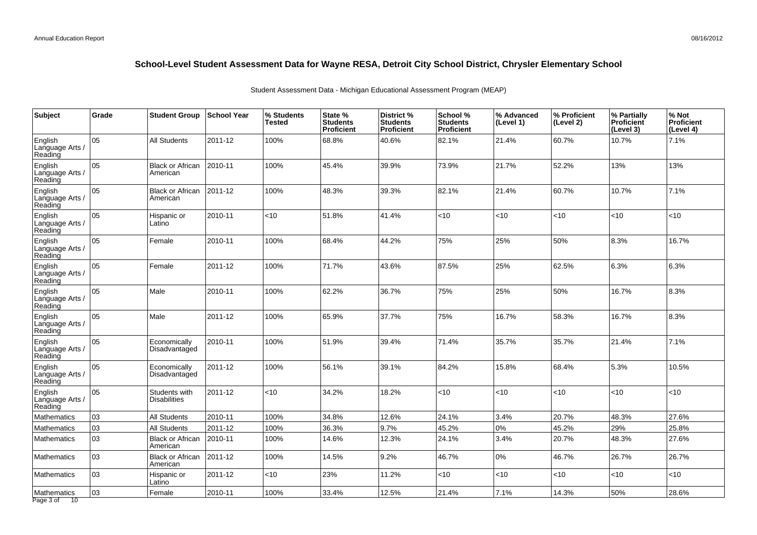| Subject                               | Grade | <b>Student Group</b>                 | School Year | % Students<br><b>Tested</b> | State %<br><b>Students</b><br>Proficient | District %<br><b>Students</b><br>Proficient | School %<br><b>Students</b><br><b>Proficient</b> | % Advanced<br>(Level 1) | % Proficient<br>(Level 2) | % Partially<br>Proficient<br>(Level 3) | % Not<br>Proficient<br>(Level 4) |
|---------------------------------------|-------|--------------------------------------|-------------|-----------------------------|------------------------------------------|---------------------------------------------|--------------------------------------------------|-------------------------|---------------------------|----------------------------------------|----------------------------------|
| English<br>Language Arts<br>Reading   | 05    | <b>All Students</b>                  | 2011-12     | 100%                        | 68.8%                                    | 40.6%                                       | 82.1%                                            | 21.4%                   | 60.7%                     | 10.7%                                  | 7.1%                             |
| English<br>Language Arts /<br>Reading | 05    | <b>Black or African</b><br>American  | 2010-11     | 100%                        | 45.4%                                    | 39.9%                                       | 73.9%                                            | 21.7%                   | 52.2%                     | 13%                                    | 13%                              |
| English<br>Language Arts /<br>Reading | 05    | <b>Black or African</b><br>American  | 2011-12     | 100%                        | 48.3%                                    | 39.3%                                       | 82.1%                                            | 21.4%                   | 60.7%                     | 10.7%                                  | 7.1%                             |
| English<br>Language Arts /<br>Reading | 05    | Hispanic or<br>Latino                | 2010-11     | <10                         | 51.8%                                    | 41.4%                                       | $<$ 10                                           | <10                     | <10                       | < 10                                   | <10                              |
| English<br>Language Arts<br>Reading   | 05    | Female                               | 2010-11     | 100%                        | 68.4%                                    | 44.2%                                       | 75%                                              | 25%                     | 50%                       | 8.3%                                   | 16.7%                            |
| English<br>Language Arts /<br>Reading | 05    | Female                               | 2011-12     | 100%                        | 71.7%                                    | 43.6%                                       | 87.5%                                            | 25%                     | 62.5%                     | 6.3%                                   | 6.3%                             |
| English<br>Language Arts /<br>Reading | 05    | Male                                 | 2010-11     | 100%                        | 62.2%                                    | 36.7%                                       | 75%                                              | 25%                     | 50%                       | 16.7%                                  | 8.3%                             |
| English<br>Language Arts /<br>Reading | 05    | Male                                 | 2011-12     | 100%                        | 65.9%                                    | 37.7%                                       | 75%                                              | 16.7%                   | 58.3%                     | 16.7%                                  | 8.3%                             |
| English<br>Language Arts<br>Reading   | 05    | Economically<br>Disadvantaged        | 2010-11     | 100%                        | 51.9%                                    | 39.4%                                       | 71.4%                                            | 35.7%                   | 35.7%                     | 21.4%                                  | 7.1%                             |
| English<br>Language Arts /<br>Reading | 05    | Economically<br>Disadvantaged        | 2011-12     | 100%                        | 56.1%                                    | 39.1%                                       | 84.2%                                            | 15.8%                   | 68.4%                     | 5.3%                                   | 10.5%                            |
| English<br>Language Arts /<br>Reading | 05    | Students with<br><b>Disabilities</b> | 2011-12     | $<$ 10                      | 34.2%                                    | 18.2%                                       | < 10                                             | <10                     | < 10                      | $ $ < 10                               | <10                              |
| <b>Mathematics</b>                    | 03    | <b>All Students</b>                  | 2010-11     | 100%                        | 34.8%                                    | 12.6%                                       | 24.1%                                            | 3.4%                    | 20.7%                     | 48.3%                                  | 27.6%                            |
| <b>Mathematics</b>                    | 03    | <b>All Students</b>                  | 2011-12     | 100%                        | 36.3%                                    | 9.7%                                        | 45.2%                                            | 0%                      | 45.2%                     | 29%                                    | 25.8%                            |
| <b>Mathematics</b>                    | 03    | <b>Black or African</b><br>American  | 2010-11     | 100%                        | 14.6%                                    | 12.3%                                       | 24.1%                                            | 3.4%                    | 20.7%                     | 48.3%                                  | 27.6%                            |
| Mathematics                           | 03    | <b>Black or African</b><br>American  | 2011-12     | 100%                        | 14.5%                                    | 9.2%                                        | 46.7%                                            | 0%                      | 46.7%                     | 26.7%                                  | 26.7%                            |
| Mathematics                           | 03    | Hispanic or<br>Latino                | 2011-12     | <10                         | 23%                                      | 11.2%                                       | < 10                                             | <10                     | <10                       | < 10                                   | <10                              |
| Mathematics<br>Page 3 of<br>10        | 03    | Female                               | 2010-11     | 100%                        | 33.4%                                    | 12.5%                                       | 21.4%                                            | 7.1%                    | 14.3%                     | 50%                                    | 28.6%                            |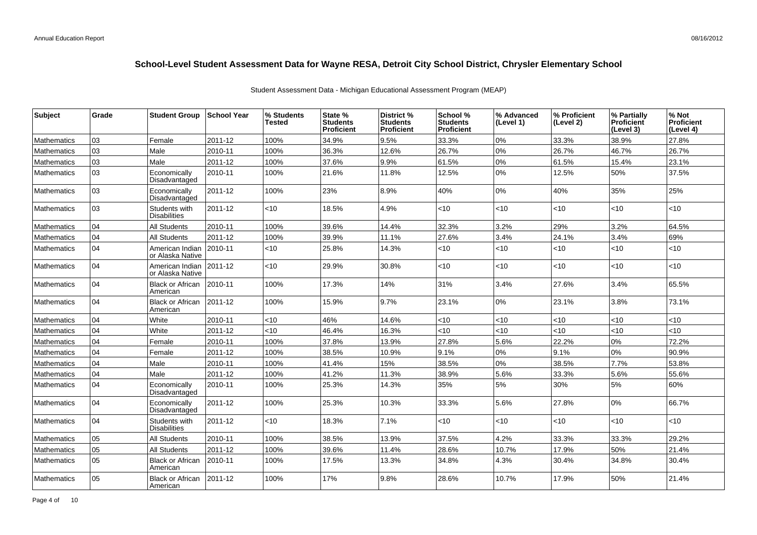| <b>Subject</b>     | Grade | <b>Student Group</b>                 | <b>School Year</b> | % Students<br>Tested | State %<br><b>Students</b><br><b>Proficient</b> | District %<br><b>Students</b><br><b>Proficient</b> | School %<br><b>Students</b><br><b>Proficient</b> | % Advanced<br>(Level 1) | % Proficient<br>(Level 2) | % Partially<br><b>Proficient</b><br>(Level 3) | % Not<br><b>Proficient</b><br>(Level 4) |
|--------------------|-------|--------------------------------------|--------------------|----------------------|-------------------------------------------------|----------------------------------------------------|--------------------------------------------------|-------------------------|---------------------------|-----------------------------------------------|-----------------------------------------|
| <b>Mathematics</b> | 03    | Female                               | 2011-12            | 100%                 | 34.9%                                           | 9.5%                                               | 33.3%                                            | 0%                      | 33.3%                     | 38.9%                                         | 27.8%                                   |
| <b>Mathematics</b> | 03    | Male                                 | 2010-11            | 100%                 | 36.3%                                           | 12.6%                                              | 26.7%                                            | 0%                      | 26.7%                     | 46.7%                                         | 26.7%                                   |
| <b>Mathematics</b> | 03    | Male                                 | 2011-12            | 100%                 | 37.6%                                           | 9.9%                                               | 61.5%                                            | $0\%$                   | 61.5%                     | 15.4%                                         | 23.1%                                   |
| <b>Mathematics</b> | 03    | Economically<br>Disadvantaged        | 2010-11            | 100%                 | 21.6%                                           | 11.8%                                              | 12.5%                                            | 0%                      | 12.5%                     | 50%                                           | 37.5%                                   |
| <b>Mathematics</b> | 03    | Economically<br>Disadvantaged        | 2011-12            | 100%                 | 23%                                             | 8.9%                                               | 40%                                              | 0%                      | 40%                       | 35%                                           | 25%                                     |
| <b>Mathematics</b> | 03    | Students with<br><b>Disabilities</b> | 2011-12            | <10                  | 18.5%                                           | 4.9%                                               | <10                                              | <10                     | <10                       | <10                                           | <10                                     |
| <b>Mathematics</b> | 04    | <b>All Students</b>                  | 2010-11            | 100%                 | 39.6%                                           | 14.4%                                              | 32.3%                                            | 3.2%                    | 29%                       | 3.2%                                          | 64.5%                                   |
| <b>Mathematics</b> | 04    | <b>All Students</b>                  | 2011-12            | 100%                 | 39.9%                                           | 11.1%                                              | 27.6%                                            | 3.4%                    | 24.1%                     | 3.4%                                          | 69%                                     |
| <b>Mathematics</b> | 04    | American Indian<br>or Alaska Native  | 2010-11            | <10                  | 25.8%                                           | 14.3%                                              | <10                                              | $<$ 10                  | $<$ 10                    | <10                                           | <10                                     |
| <b>Mathematics</b> | 04    | American Indian<br>or Alaska Native  | $ 2011 - 12 $      | $<$ 10               | 29.9%                                           | 30.8%                                              | < 10                                             | $<$ 10                  | <10                       | < 10                                          | <10                                     |
| <b>Mathematics</b> | 04    | <b>Black or African</b><br>American  | 2010-11            | 100%                 | 17.3%                                           | 14%                                                | 31%                                              | 3.4%                    | 27.6%                     | 3.4%                                          | 65.5%                                   |
| <b>Mathematics</b> | 04    | <b>Black or African</b><br>American  | $ 2011 - 12 $      | 100%                 | 15.9%                                           | 9.7%                                               | 23.1%                                            | 0%                      | 23.1%                     | 3.8%                                          | 73.1%                                   |
| <b>Mathematics</b> | 04    | White                                | 2010-11            | <10                  | 46%                                             | 14.6%                                              | <10                                              | < 10                    | $<$ 10                    | $<$ 10                                        | <10                                     |
| Mathematics        | 04    | White                                | 2011-12            | <10                  | 46.4%                                           | 16.3%                                              | <10                                              | $<10$                   | <10                       | < 10                                          | <10                                     |
| Mathematics        | 04    | Female                               | 2010-11            | 100%                 | 37.8%                                           | 13.9%                                              | 27.8%                                            | 5.6%                    | 22.2%                     | 0%                                            | 72.2%                                   |
| <b>Mathematics</b> | 04    | Female                               | 2011-12            | 100%                 | 38.5%                                           | 10.9%                                              | 9.1%                                             | 0%                      | 9.1%                      | 0%                                            | 90.9%                                   |
| <b>Mathematics</b> | 04    | Male                                 | 2010-11            | 100%                 | 41.4%                                           | 15%                                                | 38.5%                                            | 0%                      | 38.5%                     | 7.7%                                          | 53.8%                                   |
| Mathematics        | 04    | Male                                 | 2011-12            | 100%                 | 41.2%                                           | 11.3%                                              | 38.9%                                            | 5.6%                    | 33.3%                     | 5.6%                                          | 55.6%                                   |
| <b>Mathematics</b> | 04    | Economically<br>Disadvantaged        | 2010-11            | 100%                 | 25.3%                                           | 14.3%                                              | 35%                                              | 5%                      | 30%                       | 5%                                            | 60%                                     |
| <b>Mathematics</b> | 04    | Economically<br>Disadvantaged        | 2011-12            | 100%                 | 25.3%                                           | 10.3%                                              | 33.3%                                            | 5.6%                    | 27.8%                     | 0%                                            | 66.7%                                   |
| <b>Mathematics</b> | 04    | Students with<br><b>Disabilities</b> | 2011-12            | $<$ 10               | 18.3%                                           | 7.1%                                               | <10                                              | $<$ 10                  | <10                       | <10                                           | <10                                     |
| Mathematics        | 05    | <b>All Students</b>                  | 2010-11            | 100%                 | 38.5%                                           | 13.9%                                              | 37.5%                                            | 4.2%                    | 33.3%                     | 33.3%                                         | 29.2%                                   |
| Mathematics        | 05    | <b>All Students</b>                  | 2011-12            | 100%                 | 39.6%                                           | 11.4%                                              | 28.6%                                            | 10.7%                   | 17.9%                     | 50%                                           | 21.4%                                   |
| <b>Mathematics</b> | 05    | <b>Black or African</b><br>American  | 2010-11            | 100%                 | 17.5%                                           | 13.3%                                              | 34.8%                                            | 4.3%                    | 30.4%                     | 34.8%                                         | 30.4%                                   |
| <b>Mathematics</b> | 05    | <b>Black or African</b><br>American  | 2011-12            | 100%                 | 17%                                             | 9.8%                                               | 28.6%                                            | 10.7%                   | 17.9%                     | 50%                                           | 21.4%                                   |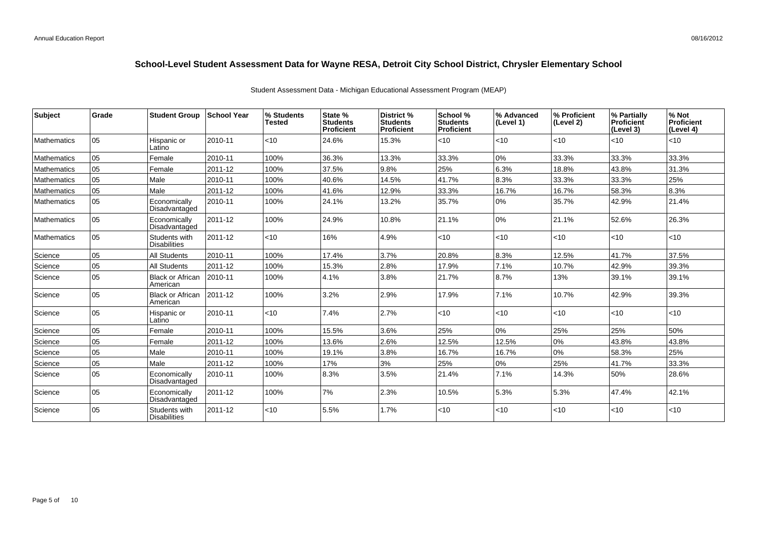| <b>Subject</b>     | Grade | <b>Student Group</b>                 | ∣School Year | % Students<br><b>Tested</b> | State %<br><b>Students</b><br><b>Proficient</b> | District %<br><b>Students</b><br><b>Proficient</b> | School %<br><b>Students</b><br><b>Proficient</b> | % Advanced<br>(Level 1) | % Proficient<br>(Level 2) | % Partially<br><b>Proficient</b><br>(Level 3) | % Not<br>Proficient<br>(Level 4) |
|--------------------|-------|--------------------------------------|--------------|-----------------------------|-------------------------------------------------|----------------------------------------------------|--------------------------------------------------|-------------------------|---------------------------|-----------------------------------------------|----------------------------------|
| <b>Mathematics</b> | 05    | Hispanic or<br>Latino                | 2010-11      | $<$ 10                      | 24.6%                                           | 15.3%                                              | < 10                                             | < 10                    | <10                       | $ $ < 10                                      | $<$ 10                           |
| <b>Mathematics</b> | 05    | Female                               | 2010-11      | 100%                        | 36.3%                                           | 13.3%                                              | 33.3%                                            | 0%                      | 33.3%                     | 33.3%                                         | 33.3%                            |
| <b>Mathematics</b> | 05    | Female                               | 2011-12      | 100%                        | 37.5%                                           | 9.8%                                               | 25%                                              | 6.3%                    | 18.8%                     | 43.8%                                         | 31.3%                            |
| <b>Mathematics</b> | 05    | Male                                 | 2010-11      | 100%                        | 40.6%                                           | 14.5%                                              | 41.7%                                            | 8.3%                    | 33.3%                     | 33.3%                                         | 25%                              |
| Mathematics        | 05    | Male                                 | 2011-12      | 100%                        | 41.6%                                           | 12.9%                                              | 33.3%                                            | 16.7%                   | 16.7%                     | 58.3%                                         | 8.3%                             |
| <b>Mathematics</b> | 05    | Economically<br>Disadvantaged        | 2010-11      | 100%                        | 24.1%                                           | 13.2%                                              | 35.7%                                            | 0%                      | 35.7%                     | 42.9%                                         | 21.4%                            |
| <b>Mathematics</b> | 05    | Economically<br>Disadvantaged        | 2011-12      | 100%                        | 24.9%                                           | 10.8%                                              | 21.1%                                            | 10%                     | 21.1%                     | 52.6%                                         | 26.3%                            |
| <b>Mathematics</b> | 05    | Students with<br><b>Disabilities</b> | 2011-12      | $<$ 10                      | 16%                                             | 4.9%                                               | < 10                                             | < 10                    | <10                       | $ $ < 10                                      | <10                              |
| Science            | 05    | <b>All Students</b>                  | 2010-11      | 100%                        | 17.4%                                           | 3.7%                                               | 20.8%                                            | 8.3%                    | 12.5%                     | 41.7%                                         | 37.5%                            |
| Science            | 05    | <b>All Students</b>                  | 2011-12      | 100%                        | 15.3%                                           | 2.8%                                               | 17.9%                                            | 7.1%                    | 10.7%                     | 42.9%                                         | 39.3%                            |
| Science            | 05    | <b>Black or African</b><br>American  | 2010-11      | 100%                        | 4.1%                                            | 3.8%                                               | 21.7%                                            | 8.7%                    | 13%                       | 39.1%                                         | 39.1%                            |
| Science            | 05    | <b>Black or African</b><br>American  | 2011-12      | 100%                        | 3.2%                                            | 2.9%                                               | 17.9%                                            | 7.1%                    | 10.7%                     | 42.9%                                         | 39.3%                            |
| Science            | 05    | Hispanic or<br>Latino                | 2010-11      | $<$ 10                      | 7.4%                                            | 2.7%                                               | < 10                                             | < 10                    | <10                       | $ $ < 10                                      | <10                              |
| Science            | 05    | Female                               | 2010-11      | 100%                        | 15.5%                                           | 3.6%                                               | 25%                                              | 0%                      | 25%                       | 25%                                           | 50%                              |
| Science            | 05    | Female                               | 2011-12      | 100%                        | 13.6%                                           | 2.6%                                               | 12.5%                                            | 12.5%                   | 0%                        | 43.8%                                         | 43.8%                            |
| Science            | 05    | Male                                 | 2010-11      | 100%                        | 19.1%                                           | 3.8%                                               | 16.7%                                            | 16.7%                   | 0%                        | 58.3%                                         | 25%                              |
| Science            | 05    | Male                                 | 2011-12      | 100%                        | 17%                                             | 3%                                                 | 25%                                              | 0%                      | 25%                       | 41.7%                                         | 33.3%                            |
| Science            | 05    | Economically<br>Disadvantaged        | 2010-11      | 100%                        | 8.3%                                            | 3.5%                                               | 21.4%                                            | 7.1%                    | 14.3%                     | 50%                                           | 28.6%                            |
| Science            | 05    | Economically<br>Disadvantaged        | 2011-12      | 100%                        | 7%                                              | 2.3%                                               | 10.5%                                            | 5.3%                    | 5.3%                      | 47.4%                                         | 42.1%                            |
| Science            | 05    | Students with<br><b>Disabilities</b> | 2011-12      | < 10                        | 5.5%                                            | 1.7%                                               | <10                                              | < 10                    | <10                       | $ $ < 10                                      | <10                              |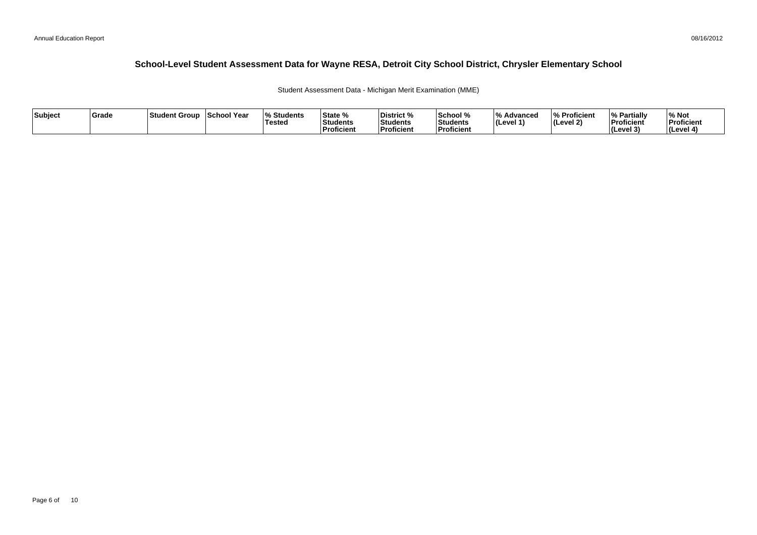Student Assessment Data - Michigan Merit Examination (MME)

| Subject | Grade | ⊺Student Group | School Year | <b>Students</b> l%<br><b>Tested</b> | State %<br><b>Students</b><br><b>Proficient</b> | District %<br><b>Students</b><br>Proficient | School %<br>Students<br><b>Proficien</b> | 1 O /<br><i>/</i> ∘ Advanced<br>∣(Level 1' | % Proficient<br>$ $ (Level 2) | <sup>1</sup> % Partiali<br>Proficient<br>$ $ (Level $3$ | % Not<br>Proficient<br>(Level 4) |
|---------|-------|----------------|-------------|-------------------------------------|-------------------------------------------------|---------------------------------------------|------------------------------------------|--------------------------------------------|-------------------------------|---------------------------------------------------------|----------------------------------|
|---------|-------|----------------|-------------|-------------------------------------|-------------------------------------------------|---------------------------------------------|------------------------------------------|--------------------------------------------|-------------------------------|---------------------------------------------------------|----------------------------------|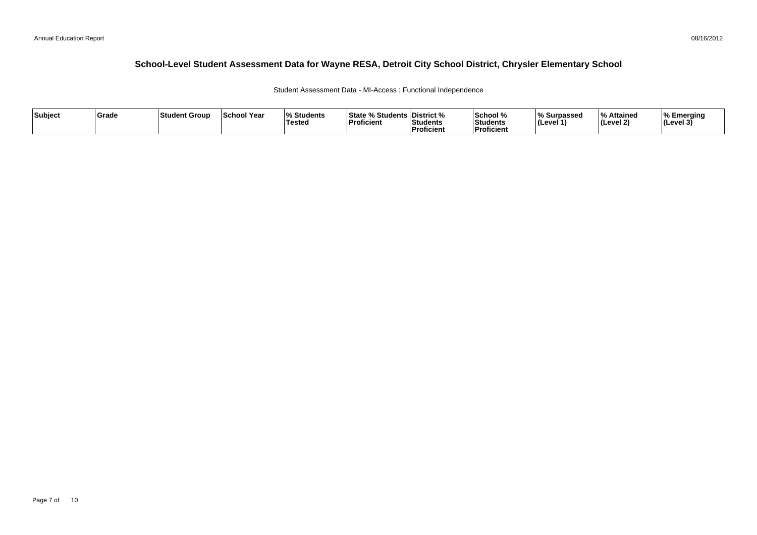Student Assessment Data - MI-Access : Functional Independence

| Subject | Grade | Student Group | <b>School Year</b> | $\mathbf{a}$<br>Students<br><b>Tested</b> | <b>State % Students District %</b><br>'Proficient | Students<br>Proficient | School %<br>Students<br><b>Proficient</b> | % Surpassed<br>(Level 1 | % Attained<br>l (Level 2) | ∣% Emeraina<br> (Level 3) |
|---------|-------|---------------|--------------------|-------------------------------------------|---------------------------------------------------|------------------------|-------------------------------------------|-------------------------|---------------------------|---------------------------|
|---------|-------|---------------|--------------------|-------------------------------------------|---------------------------------------------------|------------------------|-------------------------------------------|-------------------------|---------------------------|---------------------------|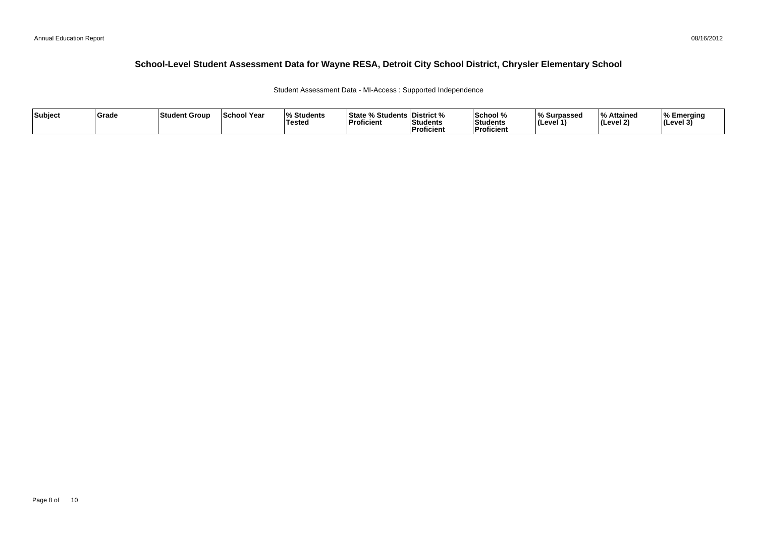Student Assessment Data - MI-Access : Supported Independence

| Subject | Grade | Student Group | <b>School Year</b> | $\mathbf{a}$<br>Students<br><b>Tested</b> | <b>State % Students District %</b><br>'Proficient | Students<br>Proficient | School %<br>Students<br><b>Proficient</b> | % Surpassed<br>(Level 1 | % Attained<br>l (Level 2) | ∣% Emeraina<br> (Level 3) |
|---------|-------|---------------|--------------------|-------------------------------------------|---------------------------------------------------|------------------------|-------------------------------------------|-------------------------|---------------------------|---------------------------|
|---------|-------|---------------|--------------------|-------------------------------------------|---------------------------------------------------|------------------------|-------------------------------------------|-------------------------|---------------------------|---------------------------|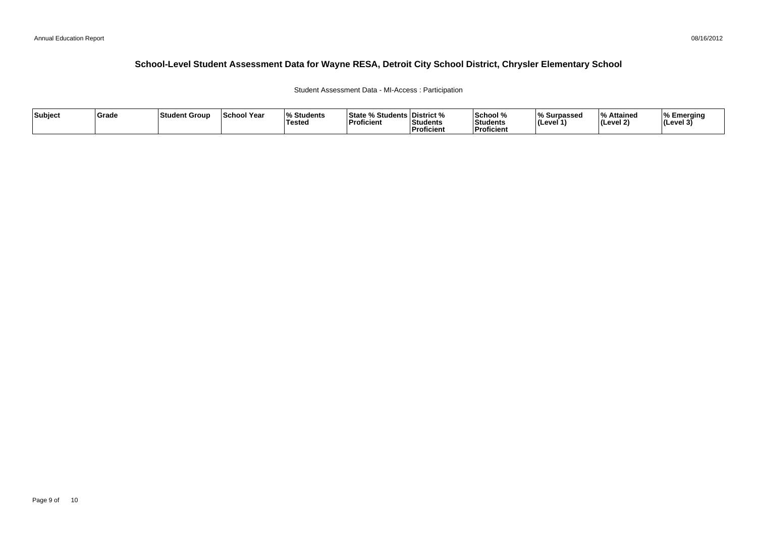#### Student Assessment Data - MI-Access : Participation

| Subject | ∣Grade | <b>Student Group</b> | <b>School Year</b> | Students<br><b>Tested</b> | <b>State % Students District %</b><br>$\overline{\phantom{a}}$<br>Proficient | Students<br>Proficient | School %<br>Students<br><b>Proficient</b> | % Surpassed<br>(Level | % Attained<br>$ $ (Level 2) | ⊺% Emerging<br> (Level 3) |
|---------|--------|----------------------|--------------------|---------------------------|------------------------------------------------------------------------------|------------------------|-------------------------------------------|-----------------------|-----------------------------|---------------------------|
|---------|--------|----------------------|--------------------|---------------------------|------------------------------------------------------------------------------|------------------------|-------------------------------------------|-----------------------|-----------------------------|---------------------------|